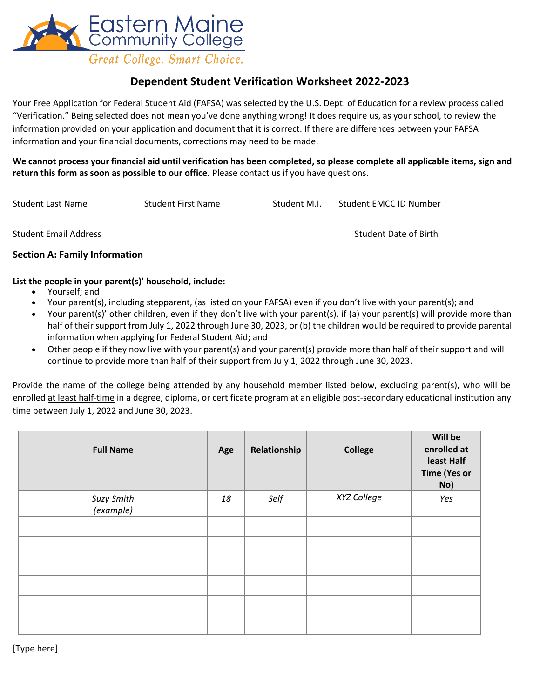

## **Dependent Student Verification Worksheet 2022-2023**

Your Free Application for Federal Student Aid (FAFSA) was selected by the U.S. Dept. of Education for a review process called "Verification." Being selected does not mean you've done anything wrong! It does require us, as your school, to review the information provided on your application and document that it is correct. If there are differences between your FAFSA information and your financial documents, corrections may need to be made.

**We cannot process your financial aid until verification has been completed, so please complete all applicable items, sign and return this form as soon as possible to our office.** Please contact us if you have questions.

| Student Last Name            | <b>Student First Name</b> | Student M.I. | Student EMCC ID Number |  |
|------------------------------|---------------------------|--------------|------------------------|--|
| <b>Student Email Address</b> |                           |              | Student Date of Birth  |  |

#### **Section A: Family Information**

#### **List the people in your parent(s)' household, include:**

- Yourself; and
- Your parent(s), including stepparent, (as listed on your FAFSA) even if you don't live with your parent(s); and
- Your parent(s)' other children, even if they don't live with your parent(s), if (a) your parent(s) will provide more than half of their support from July 1, 2022 through June 30, 2023, or (b) the children would be required to provide parental information when applying for Federal Student Aid; and
- Other people if they now live with your parent(s) and your parent(s) provide more than half of their support and will continue to provide more than half of their support from July 1, 2022 through June 30, 2023.

Provide the name of the college being attended by any household member listed below, excluding parent(s), who will be enrolled at least half-time in a degree, diploma, or certificate program at an eligible post-secondary educational institution any time between July 1, 2022 and June 30, 2023.

| <b>Full Name</b>        | Age | Relationship | <b>College</b> | Will be<br>enrolled at<br>least Half<br><b>Time (Yes or</b><br>No) |
|-------------------------|-----|--------------|----------------|--------------------------------------------------------------------|
| Suzy Smith<br>(example) | 18  | Self         | XYZ College    | Yes                                                                |
|                         |     |              |                |                                                                    |
|                         |     |              |                |                                                                    |
|                         |     |              |                |                                                                    |
|                         |     |              |                |                                                                    |
|                         |     |              |                |                                                                    |
|                         |     |              |                |                                                                    |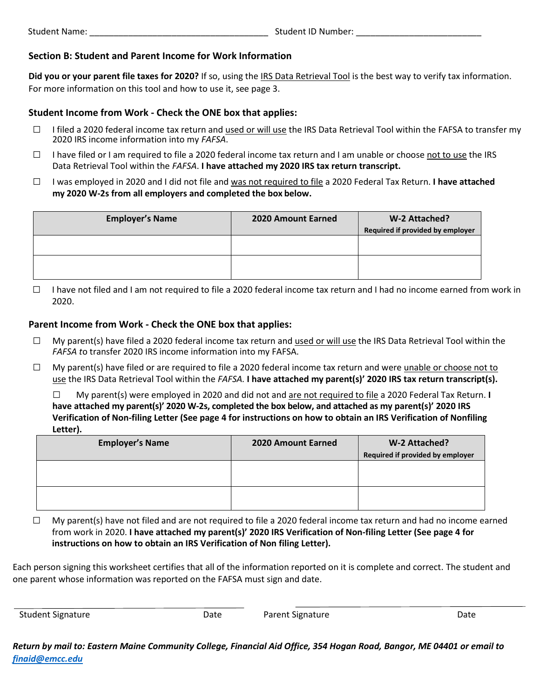#### **Section B: Student and Parent Income for Work Information**

**Did you or your parent file taxes for 2020?** If so, using the IRS Data Retrieval Tool is the best way to verify tax information. For more information on this tool and how to use it, see page 3.

#### **Student Income from Work - Check the ONE box that applies:**

- $\Box$  I filed a 2020 federal income tax return and used or will use the IRS Data Retrieval Tool within the FAFSA to transfer my 2020 IRS income information into my *FAFSA*.
- $\Box$  I have filed or I am required to file a 2020 federal income tax return and I am unable or choose not to use the IRS Data Retrieval Tool within the *FAFSA*. **I have attached my 2020 IRS tax return transcript.**
- □ I was employed in 2020 and I did not file and was not required to file a 2020 Federal Tax Return. **I have attached my 2020 W-2s from all employers and completed the box below.**

| <b>Employer's Name</b> | 2020 Amount Earned | W-2 Attached?                    |
|------------------------|--------------------|----------------------------------|
|                        |                    | Required if provided by employer |
|                        |                    |                                  |
|                        |                    |                                  |
|                        |                    |                                  |
|                        |                    |                                  |

 $\Box$  I have not filed and I am not required to file a 2020 federal income tax return and I had no income earned from work in 2020.

#### **Parent Income from Work - Check the ONE box that applies:**

- $\Box$  My parent(s) have filed a 2020 federal income tax return and used or will use the IRS Data Retrieval Tool within the *FAFSA t*o transfer 2020 IRS income information into my FAFSA.
- $\Box$  My parent(s) have filed or are required to file a 2020 federal income tax return and were unable or choose not to use the IRS Data Retrieval Tool within the *FAFSA.* **I have attached my parent(s)' 2020 IRS tax return transcript(s).**

□ My parent(s) were employed in 2020 and did not and are not required to file a 2020 Federal Tax Return. **I have attached my parent(s)' 2020 W-2s, completed the box below, and attached as my parent(s)' 2020 IRS Verification of Non-filing Letter (See page 4 for instructions on how to obtain an IRS Verification of Nonfiling Letter).** 

| <b>Employer's Name</b> | <b>2020 Amount Earned</b> | W-2 Attached?                    |
|------------------------|---------------------------|----------------------------------|
|                        |                           | Required if provided by employer |
|                        |                           |                                  |
|                        |                           |                                  |
|                        |                           |                                  |
|                        |                           |                                  |
|                        |                           |                                  |

 $\Box$  My parent(s) have not filed and are not required to file a 2020 federal income tax return and had no income earned from work in 2020. **I have attached my parent(s)' 2020 IRS Verification of Non-filing Letter (See page 4 for instructions on how to obtain an IRS Verification of Non filing Letter).** 

Each person signing this worksheet certifies that all of the information reported on it is complete and correct. The student and one parent whose information was reported on the FAFSA must sign and date.

| <b>Student Signature</b> | Date | <b>Parent Signature</b> | Date |
|--------------------------|------|-------------------------|------|
|                          |      |                         |      |

*Return by mail to: Eastern Maine Community College, Financial Aid Office, 354 Hogan Road, Bangor, ME 04401 or email to [finaid@emcc.edu](mailto:finaid@emcc.edu)*